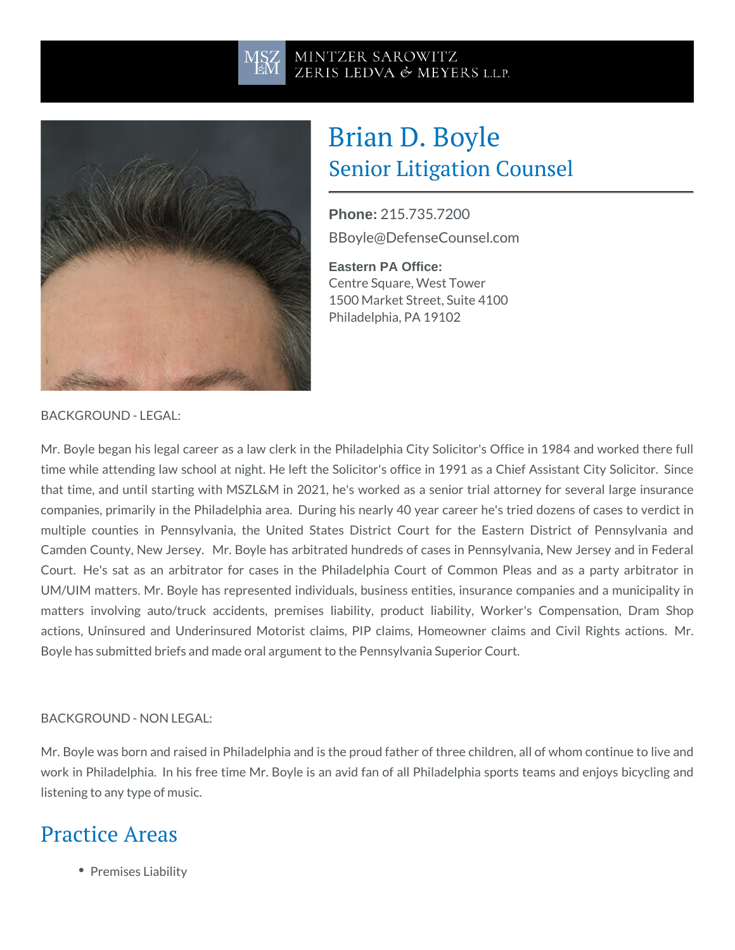# Brian D. Boyle Senior Litigation Counsel

Phone: [215.735.](tel:+1-215.735.7200)7200 [BBoyle@DefenseCo](mailto:BBoyle@DefenseCounsel.com)unsel.com

Eastern PA Office: Centre Square, West Tower 1500 Market Street, Suite 4100 Philadelphia, PA 19102

BACKGROUND - LEGAL:

Mr. Boyle began his legal career as a law clerk in the Philadelphia City So time while attending law school at night. He left the Solicitor's office in 1 that time, and until starting with MSZL&M in 2021, he's worked as a senior companies, primarily in the Philadelphia area. During his nearly 40 year c multiple counties in Pennsylvania, the United States District Court for Camden County, New Jersey. Mr. Boyle has arbitrated hundreds of cases Court. He's sat as an arbitrator for cases in the Philadelphia Court of UM/UIM matters. Mr. Boyle has represented individuals, business entities, matters involving auto/truck accidents, premises liability, product liab actions, Uninsured and Underinsured Motorist claims, PIP claims, Homeo Boyle has submitted briefs and made oral argument to the Pennsylvania Supe

#### BACKGROUND - NON LEGAL:

Mr. Boyle was born and raised in Philadelphia and is the proud father of thr work in Philadelphia. In his free time Mr. Boyle is an avid fan of all Phila listening to any type of music.

#### Practice Areas

• Premises Liability